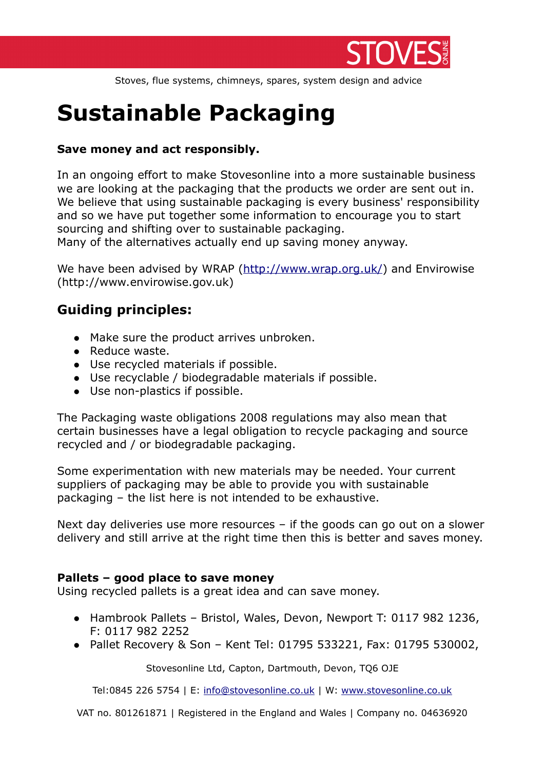

Stoves, flue systems, chimneys, spares, system design and advice

# **Sustainable Packaging**

## **Save money and act responsibly.**

In an ongoing effort to make Stovesonline into a more sustainable business we are looking at the packaging that the products we order are sent out in. We believe that using sustainable packaging is every business' responsibility and so we have put together some information to encourage you to start sourcing and shifting over to sustainable packaging.

Many of the alternatives actually end up saving money anyway.

We have been advised by WRAP [\(http://www.wrap.org.uk/\)](http://www.wrap.org.uk/) and Envirowise (http://www.envirowise.gov.uk)

# **Guiding principles:**

- Make sure the product arrives unbroken.
- Reduce waste.
- Use recycled materials if possible.
- Use recyclable / biodegradable materials if possible.
- Use non-plastics if possible.

The Packaging waste obligations 2008 regulations may also mean that certain businesses have a legal obligation to recycle packaging and source recycled and / or biodegradable packaging.

Some experimentation with new materials may be needed. Your current suppliers of packaging may be able to provide you with sustainable packaging – the list here is not intended to be exhaustive.

Next day deliveries use more resources – if the goods can go out on a slower delivery and still arrive at the right time then this is better and saves money.

#### **Pallets – good place to save money**

Using recycled pallets is a great idea and can save money.

- Hambrook Pallets Bristol, Wales, Devon, Newport T: 0117 982 1236, F: 0117 982 2252
- Pallet Recovery & Son Kent Tel: 01795 533221, Fax: 01795 530002,

Stovesonline Ltd, Capton, Dartmouth, Devon, TQ6 OJE

Tel:0845 226 5754 | E: [info@stovesonline.co.uk](mailto:info@stovesonline.co.ukW) | W: [www.stovesonline.co.uk](http://www.stovesonline.co.uk/)

VAT no. 801261871 | Registered in the England and Wales | Company no. 04636920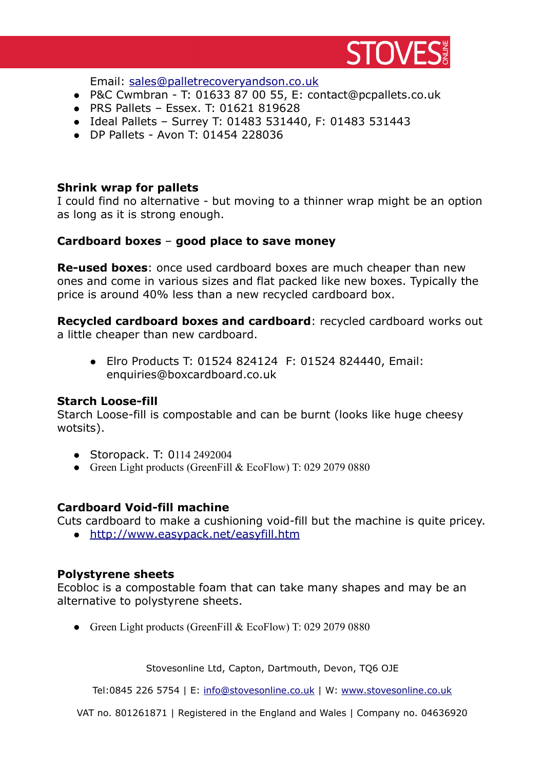

Email: [sales@palletrecoveryandson.co.uk](mailto:sales@palletrecoveryandson.co.uk)

- P&C Cwmbran T: 01633 87 00 55, E: contact@pcpallets.co.uk
- PRS Pallets Essex. T: 01621 819628
- Ideal Pallets Surrey T: 01483 531440, F: 01483 531443
- DP Pallets Avon T: 01454 228036

#### **Shrink wrap for pallets**

I could find no alternative - but moving to a thinner wrap might be an option as long as it is strong enough.

#### **Cardboard boxes** – **good place to save money**

**Re-used boxes**: once used cardboard boxes are much cheaper than new ones and come in various sizes and flat packed like new boxes. Typically the price is around 40% less than a new recycled cardboard box.

**Recycled cardboard boxes and cardboard**: recycled cardboard works out a little cheaper than new cardboard.

 Elro Products T: 01524 824124 F: 01524 824440, Email: enquiries@boxcardboard.co.uk

#### **Starch Loose-fill**

Starch Loose-fill is compostable and can be burnt (looks like huge cheesy wotsits).

- Storopack. T: 0114 2492004
- Green Light products (GreenFill & EcoFlow) T: 029 2079 0880

#### **Cardboard Void-fill machine**

Cuts cardboard to make a cushioning void-fill but the machine is quite pricey.

•<http://www.easypack.net/easyfill.htm>

#### **Polystyrene sheets**

Ecobloc is a compostable foam that can take many shapes and may be an alternative to polystyrene sheets.

Green Light products (GreenFill & EcoFlow) T: 029 2079 0880

Stovesonline Ltd, Capton, Dartmouth, Devon, TQ6 OJE

Tel:0845 226 5754 | E: [info@stovesonline.co.uk](mailto:info@stovesonline.co.ukW) | W: [www.stovesonline.co.uk](http://www.stovesonline.co.uk/)

VAT no. 801261871 | Registered in the England and Wales | Company no. 04636920